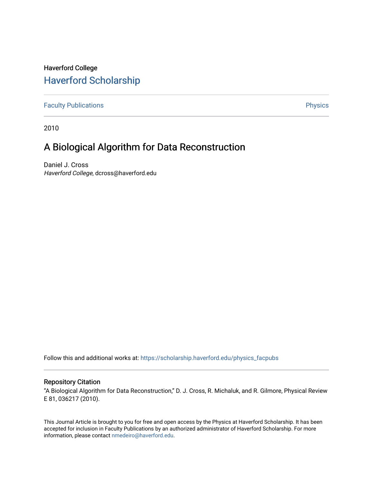# Haverford College [Haverford Scholarship](https://scholarship.haverford.edu/)

[Faculty Publications](https://scholarship.haverford.edu/physics_facpubs) **Physics** 

2010

# A Biological Algorithm for Data Reconstruction

Daniel J. Cross Haverford College, dcross@haverford.edu

Follow this and additional works at: [https://scholarship.haverford.edu/physics\\_facpubs](https://scholarship.haverford.edu/physics_facpubs?utm_source=scholarship.haverford.edu%2Fphysics_facpubs%2F336&utm_medium=PDF&utm_campaign=PDFCoverPages) 

# Repository Citation

"A Biological Algorithm for Data Reconstruction," D. J. Cross, R. Michaluk, and R. Gilmore, Physical Review E 81, 036217 (2010).

This Journal Article is brought to you for free and open access by the Physics at Haverford Scholarship. It has been accepted for inclusion in Faculty Publications by an authorized administrator of Haverford Scholarship. For more information, please contact [nmedeiro@haverford.edu.](mailto:nmedeiro@haverford.edu)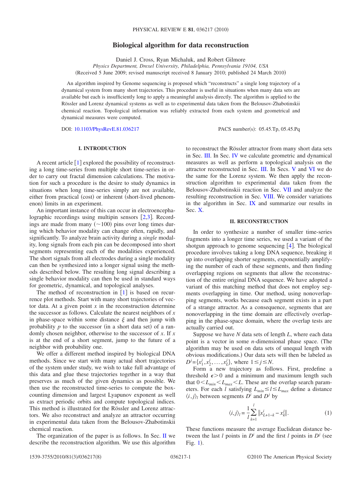# **Biological algorithm for data reconstruction**

Daniel J. Cross, Ryan Michaluk, and Robert Gilmore

*Physics Department, Drexel University, Philadelphia, Pennsylvania 19104, USA* (Received 5 June 2009; revised manuscript received 8 January 2010; published 24 March 2010)

An algorithm inspired by Genome sequencing is proposed which "reconstructs" a single long trajectory of a dynamical system from many short trajectories. This procedure is useful in situations when many data sets are available but each is insufficiently long to apply a meaningful analysis directly. The algorithm is applied to the Rössler and Lorenz dynamical systems as well as to experimental data taken from the Belousov-Zhabotinskii chemical reaction. Topological information was reliably extracted from each system and geometrical and dynamical measures were computed.

DOI: [10.1103/PhysRevE.81.036217](http://dx.doi.org/10.1103/PhysRevE.81.036217)

PACS number(s): 05.45.Tp, 05.45.Pq

# **I. INTRODUCTION**

A recent article  $[1]$  $[1]$  $[1]$  explored the possibility of reconstructing a long time-series from multiple short time-series in order to carry out fractal dimension calculations. The motivation for such a procedure is the desire to study dynamics in situations when long time-series simply are not available, either from practical (cost) or inherent (short-lived phenomenon) limits in an experiment.

An important instance of this can occur in electroencephalographic recordings using multipin sensors  $[2,3]$  $[2,3]$  $[2,3]$  $[2,3]$ . Recordings are made from many  $(\sim 100)$  pins over long times during which behavior modality can change often, rapidly, and significantly. To analyze brain activity during a *single* modality, long signals from each pin can be decomposed into short segments representing each of the modalities experienced. The short signals from all electrodes during a single modality can then be synthesized into a longer signal using the methods described below. The resulting long signal describing a single behavior modality can then be used in standard ways for geometric, dynamical, and topological analyses.

The method of reconstruction in  $[1]$  $[1]$  $[1]$  is based on recurrence plot methods. Start with many short trajectories of vector data. At a given point  $x$  in the reconstruction determine the successor as follows. Calculate the nearest neighbors of *x* in phase-space within some distance  $\xi$  and then jump with probability  $p$  to the successor (in a short data set) of a randomly chosen neighbor, otherwise to the successor of *x*. If *x* is at the end of a short segment, jump to the future of a neighbor with probability one.

We offer a different method inspired by biological DNA methods. Since we start with many actual short trajectories of the system under study, we wish to take full advantage of this data and glue these trajectories together in a way that preserves as much of the given dynamics as possible. We then use the reconstructed time-series to compute the boxcounting dimension and largest Lyapunov exponent as well as extract periodic orbits and compute topological indices. This method is illustrated for the Rössler and Lorenz attractors. We also reconstruct and analyze an attractor occurring in experimental data taken from the Belousov-Zhabotinskii chemical reaction.

The organization of the paper is as follows. In Sec. [II](#page-1-0) we describe the reconstruction algorithm. We use this algorithm to reconstruct the Rössler attractor from many short data sets in Sec. [III.](#page-2-0) In Sec. [IV](#page-3-0) we calculate geometric and dynamical measures as well as perform a topological analysis on the attractor reconstructed in Sec. [III.](#page-2-0) In Secs. [V](#page-4-0) and [VI](#page-5-0) we do the same for the Lorenz system. We then apply the reconstruction algorithm to experimental data taken from the Belousov-Zhabotinskii reaction in Sec. [VII](#page-5-1) and analyze the resulting reconstruction in Sec. [VIII.](#page-6-0) We consider variations in the algorithm in Sec.  $IX$  and summarize our results in Sec. [X.](#page-8-3)

# **II. RECONSTRUCTION**

<span id="page-1-0"></span>In order to synthesize a number of smaller time-series fragments into a longer time series, we used a variant of the shotgun approach to genome sequencing  $[4]$  $[4]$  $[4]$ . The biological procedure involves taking a long DNA sequence, breaking it up into overlapping shorter segments, exponentially amplifying the number of each of these segments, and then finding overlapping regions on segments that allow the reconstruction of the entire original DNA sequence. We have adopted a variant of this matching method that does not employ segments overlapping in time. Our method, using nonoverlapping segments, works because each segment exists in a part of a strange attractor. As a consequence, segments that are nonoverlapping in the time domain are effectively overlapping in the phase-space domain, where the overlap tests are actually carried out.

Suppose we have *N* data sets of length *L*, where each data point is a vector in some *n*-dimensional phase space. The algorithm may be used on data sets of unequal length with obvious modifications.) Our data sets will then be labeled as  $D^j = \{x_1^j, x_2^j, \dots, x_L^j\}$ , where  $1 \le j \le N$ .

Form a new trajectory as follows. First, predefine a threshold  $\epsilon > 0$  and a minimum and maximum length such that  $0 \le L_{min} \le L_{max} \le L$ . These are the overlap search parameters. For each *l* satisfying  $L_{min} \leq l \leq L_{max}$  define a distance  $\langle i, j \rangle$  between segments  $D^i$  and  $D^j$  by

$$
\langle i,j \rangle_l = \frac{1}{l} \sum_{k=1}^l ||x_{L+1-k}^i - x_k^j||. \tag{1}
$$

These functions measure the average Euclidean distance between the last *l* points in  $D^i$  and the first *l* points in  $D^j$  (see Fig.  $1$ ).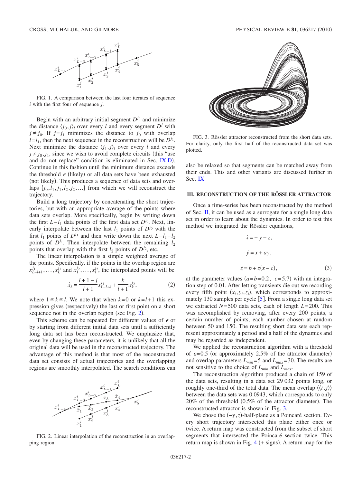<span id="page-2-1"></span>

FIG. 1. A comparison between the last four iterates of sequence *i* with the first four of sequence *j*.

Begin with an arbitrary initial segment *Dj*<sup>0</sup> and minimize the distance  $\langle j_0, j \rangle_l$  over every *l* and every segment  $D^j$  with  $j \neq j_0$ . If  $j=j_1$  minimizes the distance to  $j_0$  with overlap  $l = l_1$ , then the next sequence in the reconstruction will be  $D^{j_1}$ . Next minimize the distance  $\langle j_1, j \rangle_l$  over every *l* and every  $j \neq j_0, j_1$ , since we wish to avoid complete circuits (this "use and do not replace" condition is eliminated in Sec.  $IX$   $D$ ). Continue in this fashion until the minimum distance exceeds the threshold  $\epsilon$  (likely) or all data sets have been exhausted (not likely). This produces a sequence of data sets and overlaps  $\{j_0, l_1, j_1, l_2, j_2, \ldots\}$  from which we will reconstruct the trajectory.

Build a long trajectory by concatenating the short trajectories, but with an appropriate average of the points where data sets overlap. More specifically, begin by writing down the first  $L - l_1$  data points of the first data set  $D^{j_0}$ . Next, linearly interpolate between the last  $l_1$  points of  $D^{j_0}$  with the first  $l_1$  points of  $D^{j_1}$  and then write down the next  $L - l_1 - l_2$ points of  $D^{j_1}$ . Then interpolate between the remaining  $l_2$ points that overlap with the first  $l_2$  points of  $D^{j_2}$ , etc.

The linear interpolation is a simple weighted average of the points. Specifically, if the points in the overlap region are  $x_{L-l+1}^{j_1}, \ldots, x_L^{j_1}$  and  $x_1^{j_2}, \ldots, x_l^{j_2}$ , the interpolated points will be

$$
\hat{x}_k = \frac{l+1-j}{l+1} x_{L-l+k}^{j_1} + \frac{k}{l+1} x_k^{j_2},\tag{2}
$$

where  $1 \leq k \leq l$ . We note that when  $k=0$  or  $k=l+1$  this expression gives (respectively) the last or first point on a short sequence not in the overlap region (see Fig. [2](#page-2-2)).

This scheme can be repeated for different values of  $\epsilon$  or by starting from different initial data sets until a sufficiently long data set has been reconstructed. We emphasize that, even by changing these parameters, it is unlikely that all the original data will be used in the reconstructed trajectory. The advantage of this method is that most of the reconstructed data set consists of actual trajectories and the overlapping regions are smoothly interpolated. The search conditions can

<span id="page-2-2"></span>

FIG. 2. Linear interpolation of the reconstruction in an overlapping region.

<span id="page-2-3"></span>

FIG. 3. Rössler attractor reconstructed from the short data sets. For clarity, only the first half of the reconstructed data set was plotted.

also be relaxed so that segments can be matched away from their ends. This and other variants are discussed further in Sec. [IX](#page-7-0)

# <span id="page-2-0"></span>**III. RECONSTRUCTION OF THE RÖSSLER ATTRACTOR**

Once a time-series has been reconstructed by the method of Sec. [II,](#page-1-0) it can be used as a surrogate for a single long data set in order to learn about the dynamics. In order to test this method we integrated the Rössler equations,

$$
\begin{aligned}\n\dot{x} &= -y - z, \\
\dot{y} &= x + ay, \\
\dot{z} &= b + z(x - c),\n\end{aligned}
$$
\n(3)

at the parameter values  $(a=b=0.2, c=5.7)$  with an integration step of 0.01. After letting transients die out we recording every fifth point  $(x_i, y_i, z_i)$ , which corresponds to approximately 130 samples per cycle  $[5]$  $[5]$  $[5]$ . From a single long data set we extracted *N*=500 data sets, each of length *L*=200. This was accomplished by removing, after every 200 points, a certain number of points, each number chosen at random between 50 and 150. The resulting short data sets each represent approximately a period and a half of the dynamics and may be regarded as independent.

We applied the reconstruction algorithm with a threshold of  $\epsilon$ =0.5 (or approximately 2.5% of the attractor diameter) and overlap parameters *Lmin*=5 and *Lmax*=30. The results are not sensitive to the choice of *Lmin* and *Lmax*.

The reconstruction algorithm produced a chain of 159 of the data sets, resulting in a data set 29 032 points long, or roughly one-third of the total data. The mean overlap  $\langle \langle i, j \rangle \rangle$ between the data sets was 0.0943, which corresponds to only  $20\%$  of the threshold  $(0.5\%$  of the attractor diameter). The reconstructed attractor is shown in Fig. [3.](#page-2-3)

We chose the  $(-y, z)$ -half-plane as a Poincaré section. Every short trajectory intersected this plane either once or twice. A return map was constructed from the subset of short segments that intersected the Poincaré section twice. This return map is shown in Fig.  $4$  (+ signs). A return map for the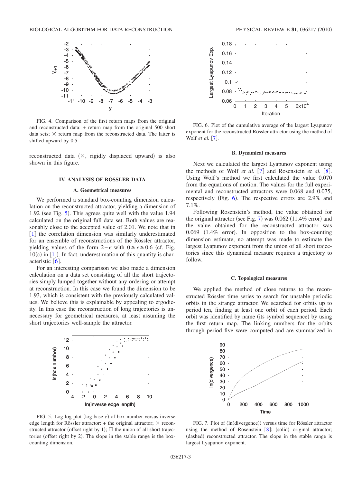<span id="page-3-1"></span>

FIG. 4. Comparison of the first return maps from the original and reconstructed data: + return map from the original 500 short data sets;  $\times$  return map from the reconstructed data. The latter is shifted upward by 0.5.

reconstructed data  $(X,$  rigidly displaced upward) is also shown in this figure.

# **IV. ANALYSIS OF RÖSSLER DATA**

# **A. Geometrical measures**

<span id="page-3-0"></span>We performed a standard box-counting dimension calculation on the reconstructed attractor, yielding a dimension of  $1.92$  (see Fig. [5](#page-3-2)). This agrees quite well with the value  $1.94$ calculated on the original full data set. Both values are reasonably close to the accepted value of 2.01. We note that in  $\lceil 1 \rceil$  $\lceil 1 \rceil$  $\lceil 1 \rceil$  the correlation dimension was similarly underestimated for an ensemble of reconstructions of the Rössler attractor, yielding values of the form  $2-\epsilon$  with  $0 \leq \epsilon \leq 0.6$  (cf. Fig.  $10(c)$  $10(c)$  in [1]). In fact, underestimation of this quantity is characteristic  $\lceil 6 \rceil$  $\lceil 6 \rceil$  $\lceil 6 \rceil$ .

For an interesting comparison we also made a dimension calculation on a data set consisting of all the short trajectories simply lumped together without any ordering or attempt at reconstruction. In this case we found the dimension to be 1.93, which is consistent with the previously calculated values. We believe this is explainable by appealing to ergodicity. In this case the reconstruction of long trajectories is unnecessary for geometrical measures, at least assuming the short trajectories well-sample the attractor.

<span id="page-3-2"></span>

FIG. 5. Log-log plot (log base  $e$ ) of box number versus inverse edge length for Rössler attractor: + the original attractor;  $\times$  reconstructed attractor (offset right by 1);  $\Box$  the union of all short trajectories (offset right by 2). The slope in the stable range is the boxcounting dimension.

<span id="page-3-3"></span>

FIG. 6. Plot of the cumulative average of the largest Lyapunov exponent for the reconstructed Rössler attractor using the method of Wolf *et al.* [[7](#page-8-7)].

## **B. Dynamical measures**

Next we calculated the largest Lyapunov exponent using the methods of Wolf *et al.* [[7](#page-8-7)] and Rosenstein *et al.* [[8](#page-8-8)]. Using Wolf's method we first calculated the value 0.070 from the equations of motion. The values for the full experimental and reconstructed attractors were 0.068 and 0.075, respectively (Fig.  $6$ ). The respective errors are 2.9% and 7.1%.

Following Rosenstein's method, the value obtained for the original attractor (see Fig. [7](#page-3-4)) was  $0.062$  (11.4% error) and the value obtained for the reconstructed attractor was  $0.069$   $(1.4\%$  error). In opposition to the box-counting dimension estimate, no attempt was made to estimate the largest Lyapunov exponent from the union of all short trajectories since this dynamical measure requires a trajectory to follow.

## **C. Topological measures**

We applied the method of close returns to the reconstructed Rössler time series to search for unstable periodic orbits in the strange attractor. We searched for orbits up to period ten, finding at least one orbit of each period. Each orbit was identified by name (its symbol sequence) by using the first return map. The linking numbers for the orbits through period five were computed and are summarized in

<span id="page-3-4"></span>

FIG. 7. Plot of  $\langle \text{In}(\text{divergence}) \rangle$  versus time for Rössler attractor using the method of Rosenstein  $[8]$  $[8]$  $[8]$ : (solid) original attractor; (dashed) reconstructed attractor. The slope in the stable range is largest Lyapunov exponent.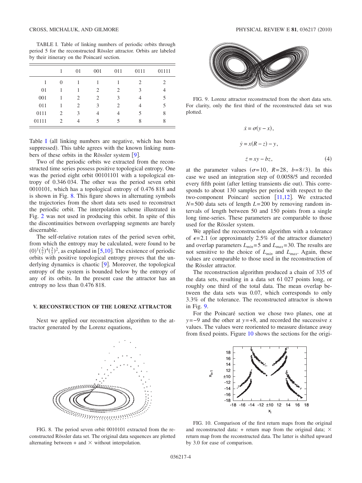<span id="page-4-1"></span>TABLE I. Table of linking numbers of periodic orbits through period 5 for the reconstructed Rössler attractor. Orbits are labeled by their itinerary on the Poincaré section.

|       |          | 01            | 001           | 011 | 0111 | 01111 |
|-------|----------|---------------|---------------|-----|------|-------|
| 1     | $\Omega$ |               |               |     | 2    | 2     |
| 01    |          |               | 2             | 2   | 3    | 4     |
| 001   |          | 2             | 2             | 3   | 4    | 5     |
| 011   |          | 2             | $\mathcal{E}$ | 2   | 4    | 5     |
| 0111  | 2        | $\mathcal{F}$ | 4             | 4   | 5    | 8     |
| 01111 | 2        | 4             | 5             | 5   | 8    | 8     |

Table [I](#page-4-1) (all linking numbers are negative, which has been suppressed). This table agrees with the known linking numbers of these orbits in the Rössler system  $[9]$  $[9]$  $[9]$ .

Two of the periodic orbits we extracted from the reconstructed time series possess positive topological entropy. One was the period eight orbit 00101101 with a topological entropy of 0.346 034. The other was the period seven orbit 0010101, which has a topological entropy of 0.476 818 and is shown in Fig. [8.](#page-4-2) This figure shows in alternating symbols the trajectories from the short data sets used to reconstruct the periodic orbit. The interpolation scheme illustrated in Fig. [2](#page-2-2) was not used in producing this orbit. In spite of this the discontinuities between overlapping segments are barely discernable.

The self-relative rotation rates of the period seven orbit, from which the entropy may be calculated, were found to be  $(0)^{1}(\frac{2}{7})^{4}(\frac{3}{7})^{2}$ , as explained in [[5,](#page-8-5)[10](#page-8-10)]. The existence of periodic orbits with positive topological entropy proves that the underlying dynamics is chaotic  $[9]$  $[9]$  $[9]$ . Moreover, the topological entropy of the system is bounded below by the entropy of any of its orbits. In the present case the attractor has an entropy no less than 0.476 818.

### <span id="page-4-0"></span>**V. RECONSTRUCTION OF THE LORENZ ATTRACTOR**

Next we applied our reconstruction algorithm to the attractor generated by the Lorenz equations,

<span id="page-4-2"></span>

FIG. 8. The period seven orbit 0010101 extracted from the reconstructed Rössler data set. The original data sequences are plotted alternating between  $+$  and  $\times$  without interpolation.

<span id="page-4-3"></span>

FIG. 9. Lorenz attractor reconstructed from the short data sets. For clarity, only the first third of the reconstructed data set was plotted.

$$
\dot{x} = \sigma(y - x),
$$
  
\n
$$
\dot{y} = x(R - z) - y,
$$
  
\n
$$
\dot{z} = xy - bz,
$$
\n(4)

at the parameter values  $(\sigma=10, R=28, b=8/3)$ . In this case we used an integration step of 0.0058/5 and recorded every fifth point (after letting transients die out). This corresponds to about 130 samples per period with respect to the two-component Poincaré section  $[11,12]$  $[11,12]$  $[11,12]$  $[11,12]$ . We extracted *N*=500 data sets of length *L*=200 by removing random intervals of length between 50 and 150 points from a single long time-series. These parameters are comparable to those used for the Rössler system.

We applied the reconstruction algorithm with a tolerance of  $\epsilon$ =2.1 (or approximately 2.5% of the attractor diameter) and overlap parameters *Lmin*=5 and *Lmax*=30. The results are not sensitive to the choice of *Lmin* and *Lmax*. Again, these values are comparable to those used in the reconstruction of the Rössler attractor.

The reconstruction algorithm produced a chain of 335 of the data sets, resulting in a data set 61 027 points long, or roughly one third of the total data. The mean overlap between the data sets was 0.07, which corresponds to only 3.3% of the tolerance. The reconstructed attractor is shown in Fig. [9.](#page-4-3)

For the Poincaré section we chose two planes, one at *y*=−9 and the other at *y*=+8, and recorded the successive *x* values. The values were reoriented to measure distance away from fixed points. Figure [10](#page-4-4) shows the sections for the origi-

<span id="page-4-4"></span>

FIG. 10. Comparison of the first return maps from the original and reconstructed data:  $+$  return map from the original data;  $\times$ return map from the reconstructed data. The latter is shifted upward by 3.0 for ease of comparison.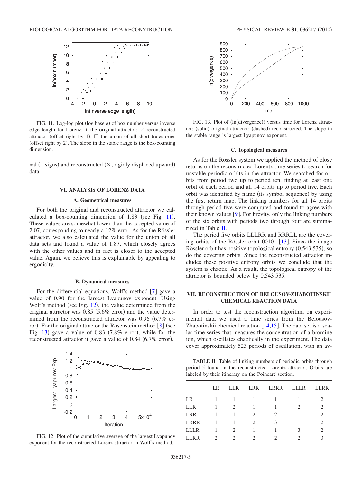<span id="page-5-2"></span>

FIG. 11. Log-log plot (log base  $e$ ) of box number versus inverse edge length for Lorenz:  $+$  the original attractor;  $\times$  reconstructed attractor (offset right by 1);  $\Box$  the union of all short trajectories (offset right by 2). The slope in the stable range is the box-counting dimension.

nal (+ signs) and reconstructed  $(\times,$  rigidly displaced upward) data.

# **VI. ANALYSIS OF LORENZ DATA**

# **A. Geometrical measures**

<span id="page-5-0"></span>For both the original and reconstructed attractor we calculated a box-counting dimension of  $1.83$  (see Fig. [11](#page-5-2)). These values are somewhat lower than the accepted value of 2.07, corresponding to nearly a 12% error. As for the Rössler attractor, we also calculated the value for the union of all data sets and found a value of 1.87, which closely agrees with the other values and in fact is closer to the accepted value. Again, we believe this is explainable by appealing to ergodicity.

#### **B. Dynamical measures**

For the differential equations, Wolf's method  $\lceil 7 \rceil$  $\lceil 7 \rceil$  $\lceil 7 \rceil$  gave a value of 0.90 for the largest Lyapunov exponent. Using Wolf's method (see Fig. [12](#page-5-3)), the value determined from the original attractor was  $0.85$  (5.6% error) and the value determined from the reconstructed attractor was 0.96 (6.7% error). For the original attractor the Rosenstein method  $\begin{bmatrix} 8 \end{bmatrix}$  $\begin{bmatrix} 8 \end{bmatrix}$  $\begin{bmatrix} 8 \end{bmatrix}$  (see Fig.  $13$ ) gave a value of 0.83 (7.8% error), while for the reconstructed attractor it gave a value of  $0.84$  (6.7% error).

<span id="page-5-3"></span>

FIG. 12. Plot of the cumulative average of the largest Lyapunov exponent for the reconstructed Lorenz attractor in Wolf's method.

<span id="page-5-4"></span>

FIG. 13. Plot of  $\langle \text{In}(\text{divergence}) \rangle$  versus time for Lorenz attractor: (solid) original attractor; (dashed) reconstructed. The slope in the stable range is largest Lyapunov exponent.

#### **C. Topological measures**

As for the Rössler system we applied the method of close returns on the reconstructed Lorentz time series to search for unstable periodic orbits in the attractor. We searched for orbits from period two up to period ten, finding at least one orbit of each period and all 14 orbits up to period five. Each orbit was identified by name (its symbol sequence) by using the first return map. The linking numbers for all 14 orbits through period five were computed and found to agree with their known values  $[9]$  $[9]$  $[9]$ . For brevity, only the linking numbers of the six orbits with periods two through four are summarized in Table [II.](#page-5-5)

The period five orbits LLLRR and RRRLL are the covering orbits of the Rössler orbit  $00101$  [[13](#page-8-13)]. Since the image Rössler orbit has positive topological entropy (0.543 535), so do the covering orbits. Since the reconstructed attractor includes these positive entropy orbits we conclude that the system is chaotic. As a result, the topological entropy of the attractor is bounded below by 0.543 535.

# <span id="page-5-1"></span>**VII. RECONSTRUCTION OF BELOUSOV-ZHABOTINSKII CHEMICAL REACTION DATA**

In order to test the reconstruction algorithm on experimental data we used a time series from the Belousov-Zhabotinskii chemical reaction  $[14,15]$  $[14,15]$  $[14,15]$  $[14,15]$ . The data set is a scalar time series that measures the concentration of a bromine ion, which oscillates chaotically in the experiment. The data cover approximately 523 periods of oscillation, with an av-

<span id="page-5-5"></span>TABLE II. Table of linking numbers of periodic orbits through period 5 found in the reconstructed Lorentz attractor. Orbits are labeled by their itinerary on the Poincaré section.

|             | LR                          | LLR                         | <b>LRR</b>                    | <b>LRRR</b>                 | <b>LLLR</b>   | <b>LLRR</b> |
|-------------|-----------------------------|-----------------------------|-------------------------------|-----------------------------|---------------|-------------|
| LR          |                             |                             |                               |                             |               | 2           |
| <b>LLR</b>  |                             | $\mathcal{D}_{\mathcal{L}}$ |                               |                             | $\mathcal{L}$ | 2           |
| <b>LRR</b>  |                             |                             |                               | $\mathcal{D}_{\mathcal{L}}$ |               | 2           |
| <b>LRRR</b> |                             |                             | $\mathfrak{D}_{\mathfrak{p}}$ | $\mathcal{F}$               |               | 2           |
| <b>LLLR</b> |                             | $\mathcal{L}$               |                               |                             | 3             | 2           |
| <b>LLRR</b> | $\mathcal{D}_{\mathcal{L}}$ | 2                           | 2                             | $\mathcal{D}_{\mathcal{A}}$ | 2             | 3           |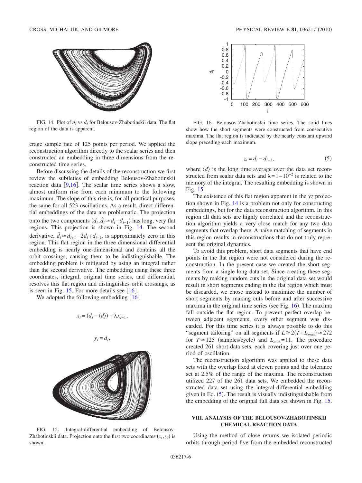<span id="page-6-1"></span>

FIG. 14. Plot of  $d_i$  vs  $\dot{d}_i$  for Belousov-Zhabotinskii data. The flat region of the data is apparent.

erage sample rate of 125 points per period. We applied the reconstruction algorithm directly to the scalar series and then constructed an embedding in three dimensions from the reconstructed time series.

Before discussing the details of the reconstruction we first review the subtleties of embedding Belousov-Zhabotinskii reaction data  $[9,16]$  $[9,16]$  $[9,16]$  $[9,16]$ . The scalar time series shows a slow, almost uniform rise from each minimum to the following maximum. The slope of this rise is, for all practical purposes, the same for all 523 oscillations. As a result, direct differential embeddings of the data are problematic. The projection onto the two components  $(d_i, d_i \approx d_i - d_{i-1})$  has long, very flat regions. This projection is shown in Fig. [14.](#page-6-1) The second derivative,  $\ddot{d}_i \approx d_{i+1} - 2d_i + d_{i-1}$ , is approximately zero in this region. This flat region in the three dimensional differential embedding is nearly one-dimensional and contains all the orbit crossings, causing them to be indistinguishable. The embedding problem is mitigated by using an integral rather than the second derivative. The embedding using these three coordinates, integral, original time series, and differential, resolves this flat region and distinguishes orbit crossings, as is seen in Fig.  $15$ . For more details see [[16](#page-8-16)].

<span id="page-6-4"></span>We adopted the following embedding  $[16]$  $[16]$  $[16]$ 

$$
x_i = (d_i - \langle d \rangle) + \lambda x_{i-1},
$$

 $y_i = d_i$ ,

<span id="page-6-2"></span>

FIG. 15. Integral-differential embedding of Belousov-Zhabotinskii data. Projection onto the first two coordinates  $(x_i, y_i)$  is shown.

<span id="page-6-3"></span>

FIG. 16. Belousov-Zhabotinskii time series. The solid lines show how the short segments were constructed from consecutive maxima. The flat region is indicated by the nearly constant upward slope preceding each maximum.

$$
z_i = d_i - d_{i-1},\tag{5}
$$

where  $\langle d \rangle$  is the long time average over the data set reconstructed from scalar data sets and  $\lambda = 1-10^{-2}$  is related to the memory of the integral. The resulting embedding is shown in Fig. [15.](#page-6-2)

The existence of this flat region apparent in the *yz* projection shown in Fig. [14](#page-6-1) is a problem not only for constructing embeddings, but for the data reconstruction algorithm. In this region all data sets are highly correlated and the reconstruction algorithm yields a very close match for any two data segments that overlap there. A naïve matching of segments in this region results in reconstructions that do not truly represent the original dynamics.

To avoid this problem, short data segments that have end points in the flat region were not considered during the reconstruction. In the present case we created the short segments from a single long data set. Since creating these segments by making random cuts in the original data set would result in short segments ending in the flat region which must be discarded, we chose instead to maximize the number of short segments by making cuts before and after successive maxima in the original time series (see Fig. [16](#page-6-3)). The maxima fall outside the flat region. To prevent perfect overlap between adjacent segments, every other segment was discarded. For this time series it is always possible to do this "segment tailoring" on all segments if  $L \ge 2(T + L_{max}) \approx 272$ for  $T \approx 125$  (samples/cycle) and  $L_{max} = 11$ . The procedure created 261 short data sets, each covering just over one period of oscillation.

The reconstruction algorithm was applied to these data sets with the overlap fixed at eleven points and the tolerance set at 2.5% of the range of the maxima. The reconstruction utilized 227 of the 261 data sets. We embedded the reconstructed data set using the integral-differential embedding given in Eq.  $(5)$  $(5)$  $(5)$ . The result is visually indistinguishable from the embedding of the original full data set shown in Fig. [15.](#page-6-2)

# <span id="page-6-0"></span>**VIII. ANALYSIS OF THE BELOUSOV-ZHABOTINSKII CHEMICAL REACTION DATA**

Using the method of close returns we isolated periodic orbits through period five from the embedded reconstructed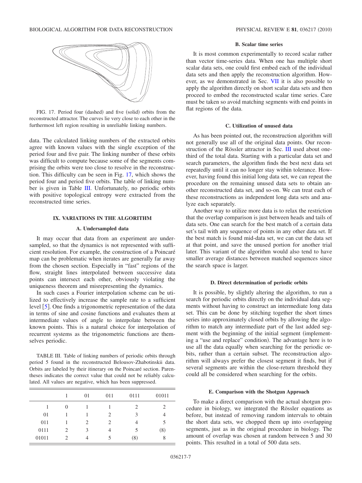<span id="page-7-2"></span>

FIG. 17. Period four (dashed) and five (solid) orbits from the reconstructed attractor. The curves lie very close to each other in the furthermost left region resulting in unreliable linking numbers.

data. The calculated linking numbers of the extracted orbits agree with known values with the single exception of the period four and five pair. The linking number of these orbits was difficult to compute because some of the segments comprising the orbits were too close to resolve in the reconstruction. This difficulty can be seen in Fig. [17,](#page-7-2) which shows the period four and period five orbits. The table of linking number is given in Table [III.](#page-7-3) Unfortunately, no periodic orbits with positive topological entropy were extracted from the reconstructed time series.

# **IX. VARIATIONS IN THE ALGORITHM**

#### **A. Undersampled data**

<span id="page-7-0"></span>It may occur that data from an experiment are undersampled, so that the dynamics is not represented with sufficient resolution. For example, the construction of a Poincaré map can be problematic when iterates are generally far away from the chosen section. Especially in "fast" regions of the flow, straight lines interpolated between successive data points can intersect each other, obviously violating the uniqueness theorem and misrepresenting the dynamics.

In such cases a Fourier interpolation scheme can be utilized to effectively increase the sample rate to a sufficient level  $\lceil 5 \rceil$  $\lceil 5 \rceil$  $\lceil 5 \rceil$ . One finds a trigonometric representation of the data in terms of sine and cosine functions and evaluates them at intermediate values of angle to interpolate between the known points. This is a natural choice for interpolation of recurrent systems as the trigonometric functions are themselves periodic.

<span id="page-7-3"></span>TABLE III. Table of linking numbers of periodic orbits through period 5 found in the reconstructed Belousov-Zhabotinskii data. Orbits are labeled by their itinerary on the Poincaré section. Parentheses indicates the correct value that could not be reliably calculated. All values are negative, which has been suppressed.

|       |                             | 01 | 011                         | 0111                        | 01011 |
|-------|-----------------------------|----|-----------------------------|-----------------------------|-------|
| 1     | 0                           |    |                             | $\mathcal{D}_{\mathcal{A}}$ | 2     |
| 01    |                             |    | $\mathcal{D}_{\mathcal{L}}$ | 3                           |       |
| 011   |                             | 2  | $\mathcal{D}_{\mathcal{A}}$ | 4                           | 5     |
| 0111  | $\mathcal{D}_{\mathcal{L}}$ | 3  |                             | 5                           | (8)   |
| 01011 | 2                           | 4  | 5                           | (8)                         | 8     |

### **B. Scalar time series**

It is most common experimentally to record scalar rather than vector time-series data. When one has multiple short scalar data sets, one could first embed each of the individual data sets and then apply the reconstruction algorithm. However, as we demonstrated in Sec. [VII](#page-5-1) it is also possible to apply the algorithm directly on short scalar data sets and then proceed to embed the reconstructed scalar time series. Care must be taken so avoid matching segments with end points in flat regions of the data.

#### **C. Utilization of unused data**

As has been pointed out, the reconstruction algorithm will not generally use all of the original data points. Our reconstruction of the Rössler attractor in Sec. [III](#page-2-0) used about onethird of the total data. Starting with a particular data set and search parameters, the algorithm finds the best next data set repeatedly until it can no longer stay within tolerance. However, having found this initial long data set, we can repeat the procedure on the remaining unused data sets to obtain another reconstructed data set, and so-on. We can treat each of these reconstructions as independent long data sets and analyze each separately.

Another way to utilize more data is to relax the restriction that the overlap comparison is just between heads and tails of data sets. One can search for the best match of a certain data set's tail with any sequence of points in any other data set. If the best match is found mid-data set, we can cut the data set at that point, and save the unused portion for another trial later. This variant of the algorithm would also tend to have smaller average distances between matched sequences since the search space is larger.

## **D. Direct determination of periodic orbits**

<span id="page-7-1"></span>It is possible, by slightly altering the algorithm, to run a search for periodic orbits directly on the individual data segments without having to construct an intermediate long data set. This can be done by stitching together the short times series into approximately closed orbits by allowing the algorithm to match any intermediate part of the last added segment with the beginning of the initial segment (implementing a "use and replace" condition). The advantage here is to use all the data equally when searching for the periodic orbits, rather than a certain subset. The reconstruction algorithm will always prefer the closest segment it finds, but if several segments are within the close-return threshold they could all be considered when searching for the orbits.

#### **E. Comparison with the Shotgun Approach**

To make a direct comparison with the actual shotgun procedure in biology, we integrated the Rössler equations as before, but instead of removing random intervals to obtain the short data sets, we chopped them up into overlapping segments, just as in the original procedure in biology. The amount of overlap was chosen at random between 5 and 30 points. This resulted in a total of 500 data sets.